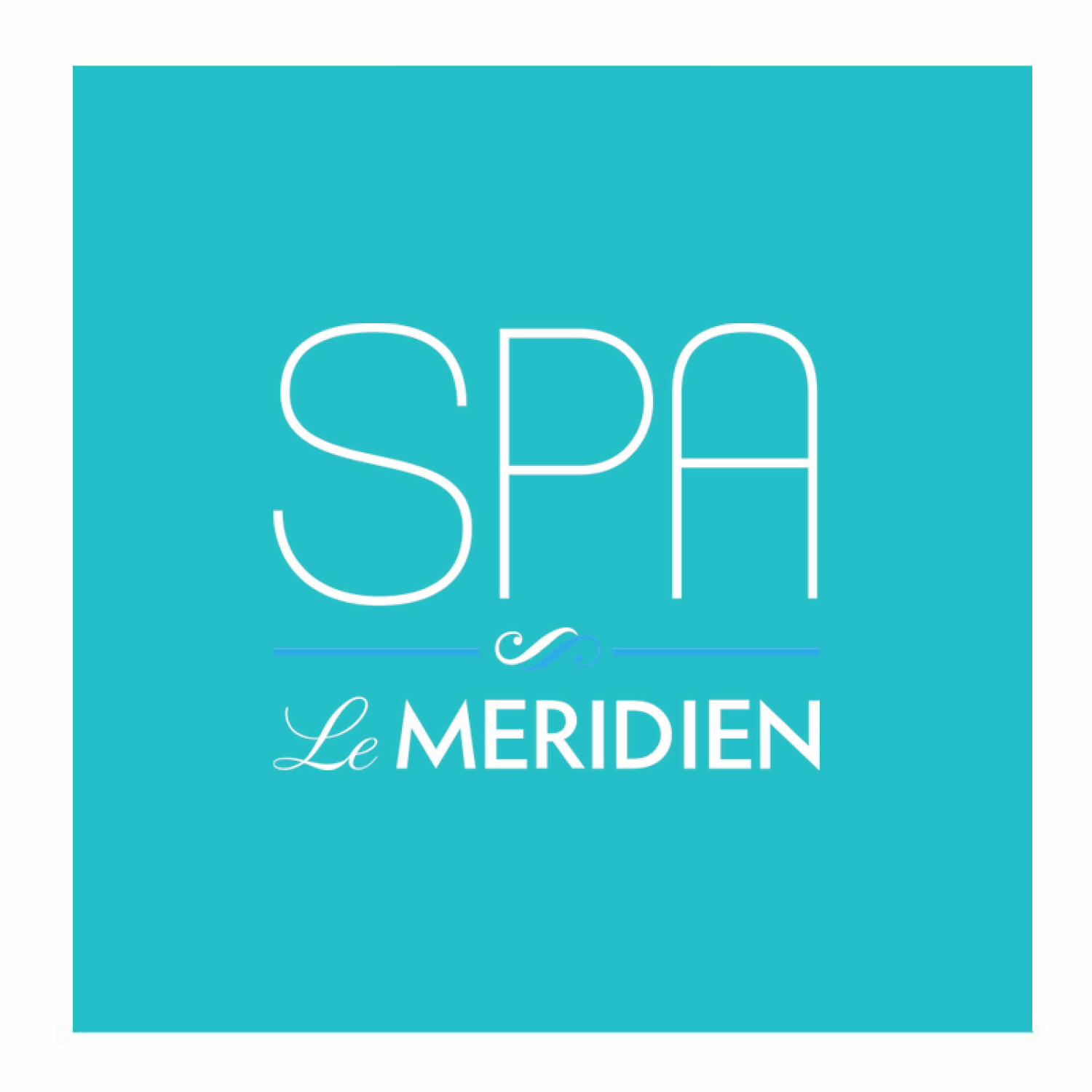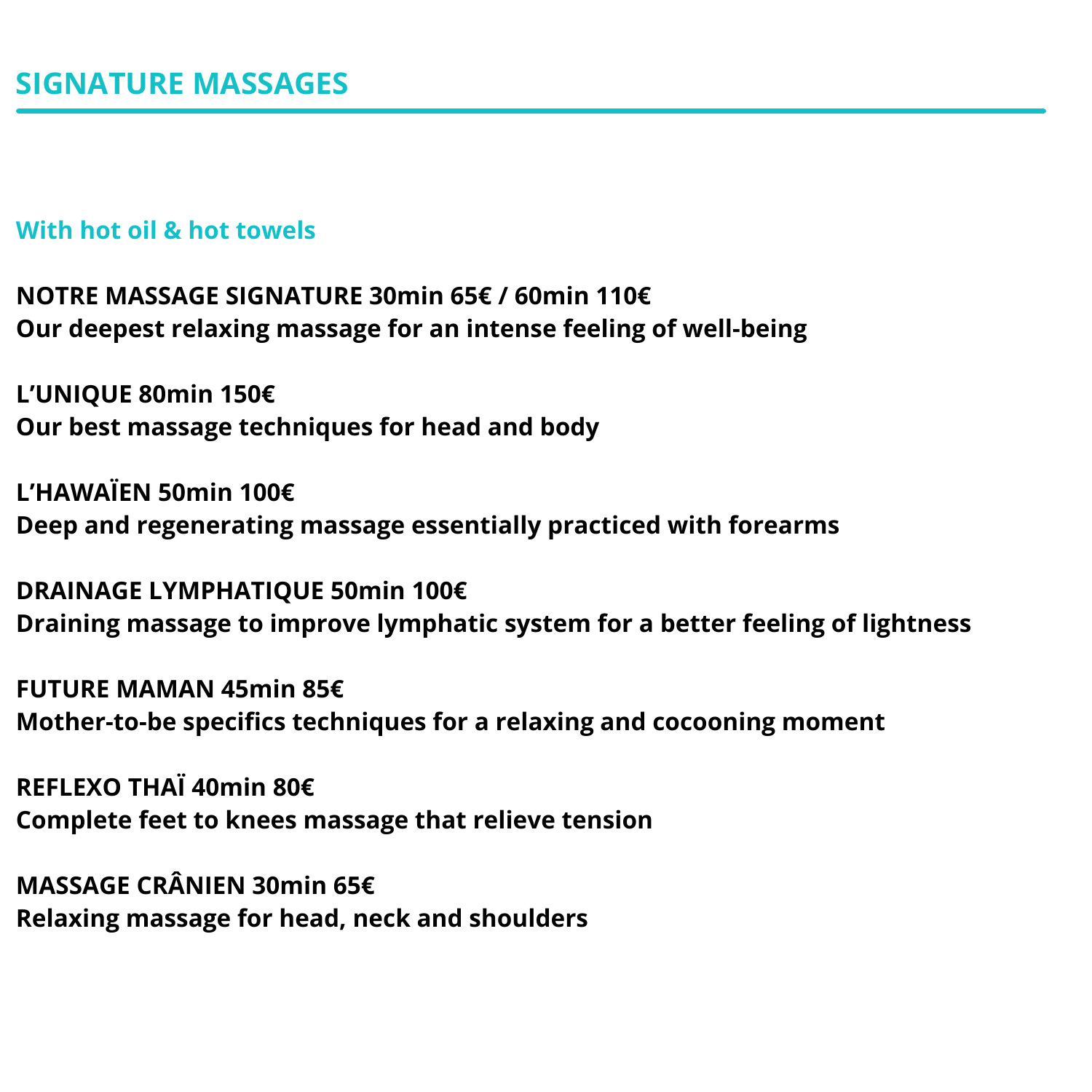#### **With hot oil & hot towels**

**NOTRE MASSAGE SIGNATURE 30min 65€ / 60min 110€ Our deepest relaxing massage for an intense feeling of well-being**

**L'UNIQUE 80min 150€ Our best massage techniques for head and body**

**L'HAWAÏEN 50min 100€ Deep and regenerating massage essentially practiced with forearms**

**DRAINAGE LYMPHATIQUE 50min 100€ Draining massage to improve lymphatic system for a better feeling of lightness**

**FUTURE MAMAN 45min 85€ Mother-to-be specifics techniques for a relaxing and cocooning moment**

**REFLEXO THAÏ 40min 80€ Complete feet to knees massage that relieve tension**

**MASSAGE CRÂNIEN 30min 65€ Relaxing massage for head, neck and shoulders**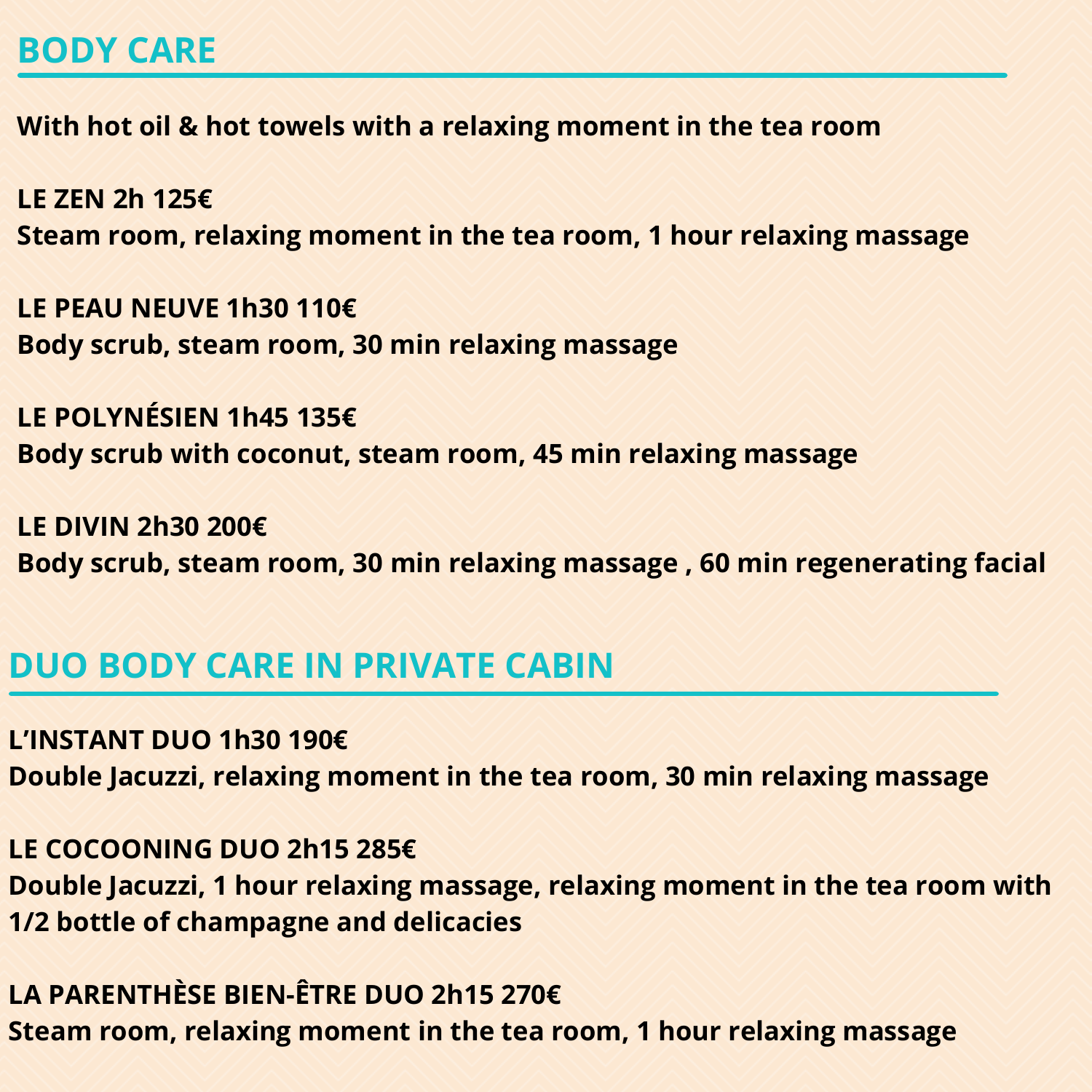## **BODY CARE**

 **With hot oil & hot towels with a relaxing moment in the tea room**

 **LE ZEN 2h 125€ Steam room, relaxing moment in the tea room, 1 hour relaxing massage**

 **LE PEAU NEUVE 1h30 110€ Body scrub, steam room, 30 min relaxing massage**

 **LE POLYNÉSIEN 1h45 135€ Body scrub with coconut, steam room, 45 min relaxing massage**

 **LE DIVIN 2h30 200€ Body scrub, steam room, 30 min relaxing massage , 60 min regenerating facial**

## **DUO BODY CARE IN PRIVATE CABIN**

 **L'INSTANT DUO 1h30 190€ Double Jacuzzi, relaxing moment in the tea room, 30 min relaxing massage**

 **LE COCOONING DUO 2h15 285€ Double Jacuzzi, 1 hour relaxing massage, relaxing moment in the tea room with 1/2 bottle of champagne and delicacies**

 **LA PARENTHÈSE BIEN-ÊTRE DUO 2h15 270€ Steam room, relaxing moment in the tea room, 1 hour relaxing massage**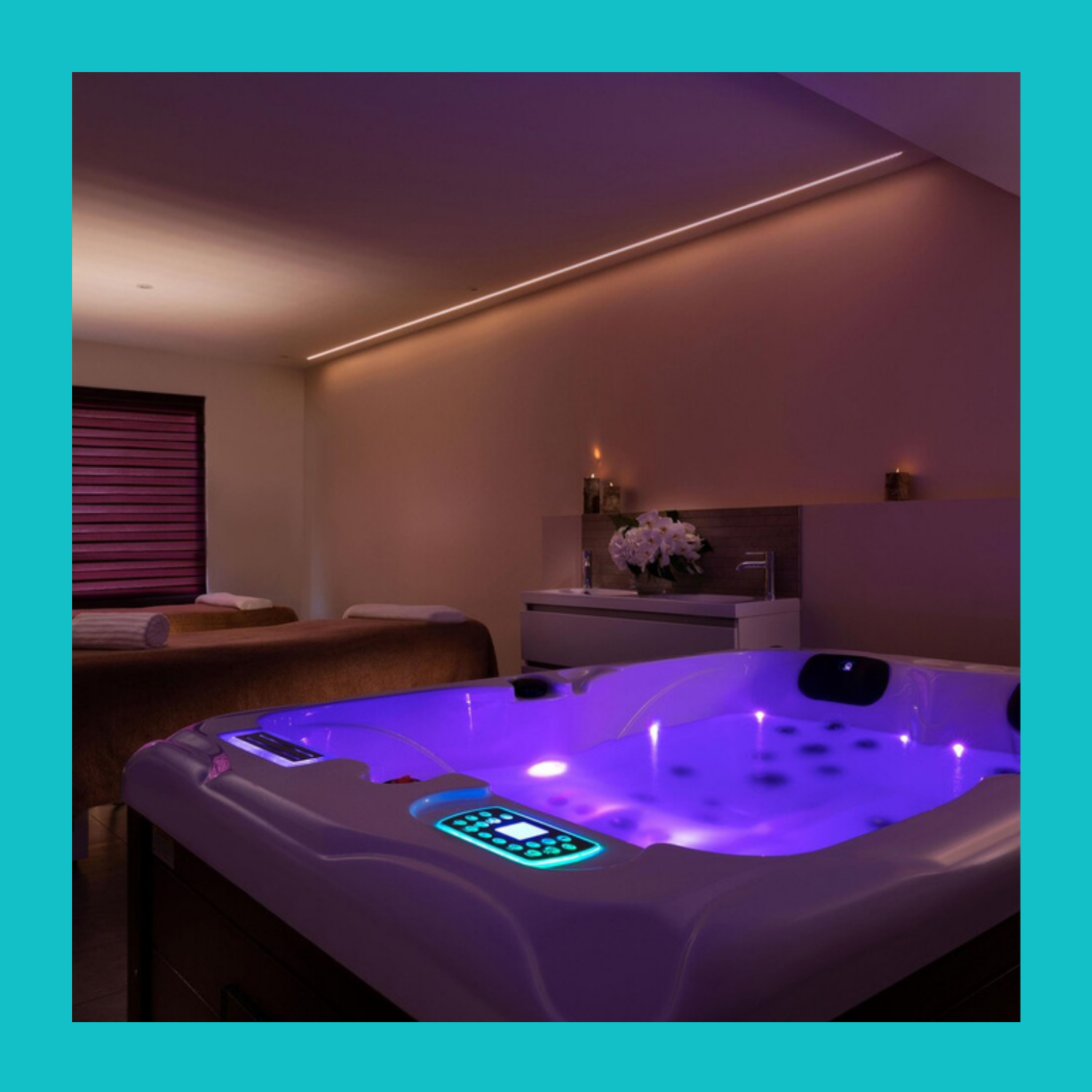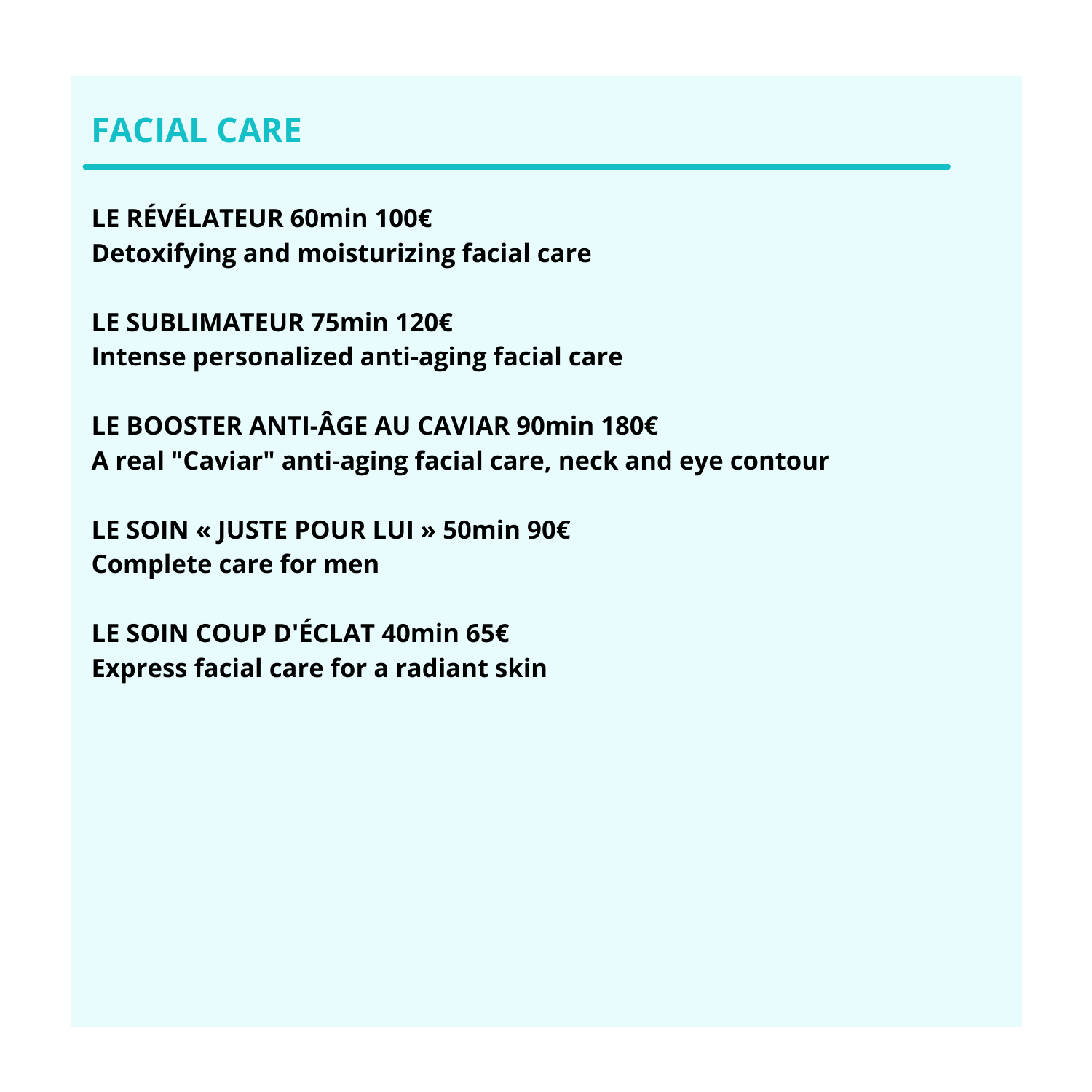## **FACIAL CARE**

**LE RÉVÉLATEUR 60min 100€ Detoxifying and moisturizing facial care**

**LE SUBLIMATEUR 75min 120€ Intense personalized anti-aging facial care**

**LE BOOSTER ANTI-ÂGE AU CAVIAR 90min 180€ A real "Caviar" anti-aging facial care, neck and eye contour**

**LE SOIN « JUSTE POUR LUI » 50min 90€ Complete care for men**

**LE SOIN COUP D'ÉCLAT 40min 65€ Express facial care for a radiant skin**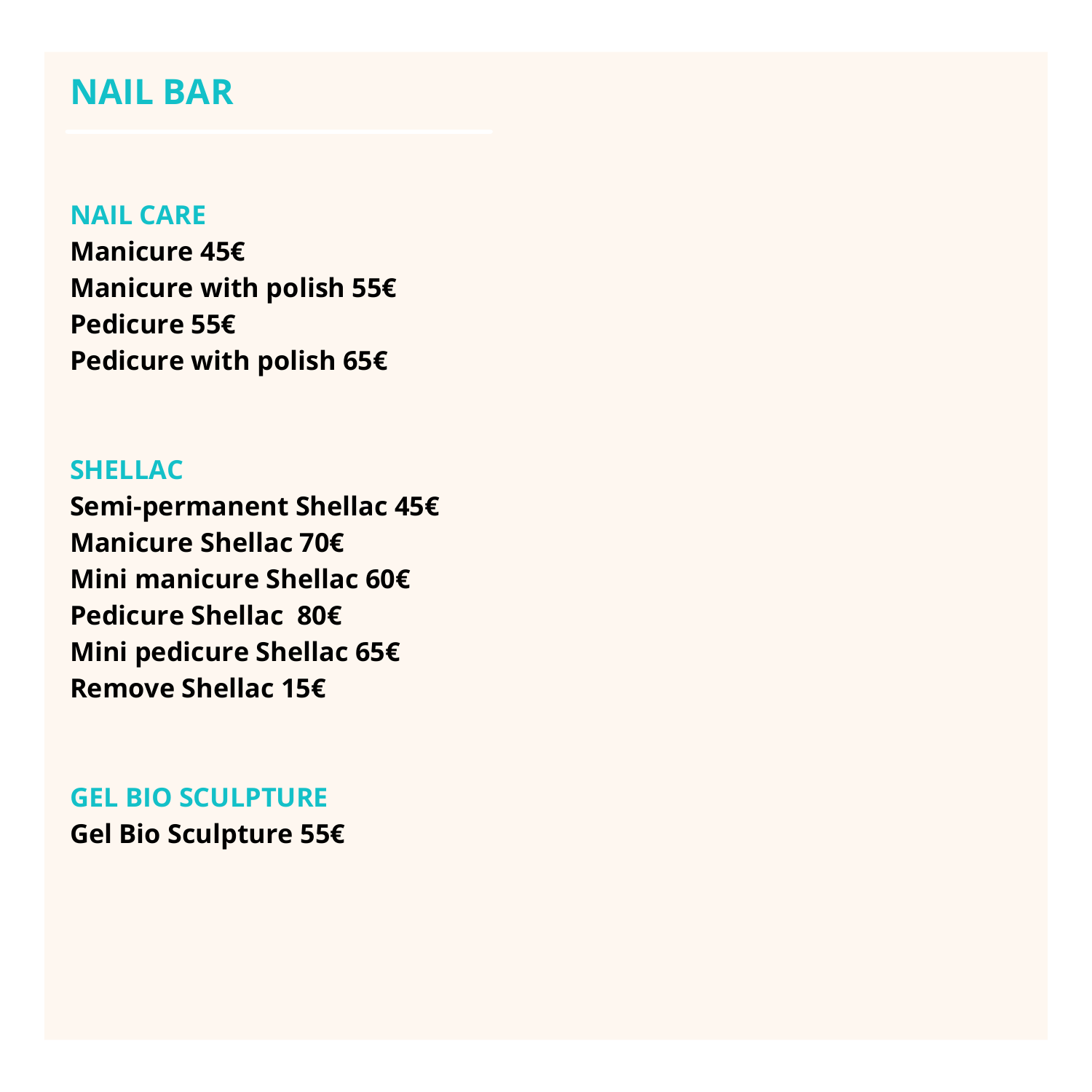## **NAIL BAR**

#### **NAIL CARE**

**Manicure 45€ Manicure with polish 55€ Pedicure 55€ Pedicure with polish 65€**

#### **SHELLAC**

 **Pedicure Shellac 80€ Semi-permanent Shellac 45€ Manicure Shellac 70€ Mini manicure Shellac 60€ Mini pedicure Shellac 65€ Remove Shellac 15€**

**GEL BIO SCULPTURE Gel Bio Sculpture 55€**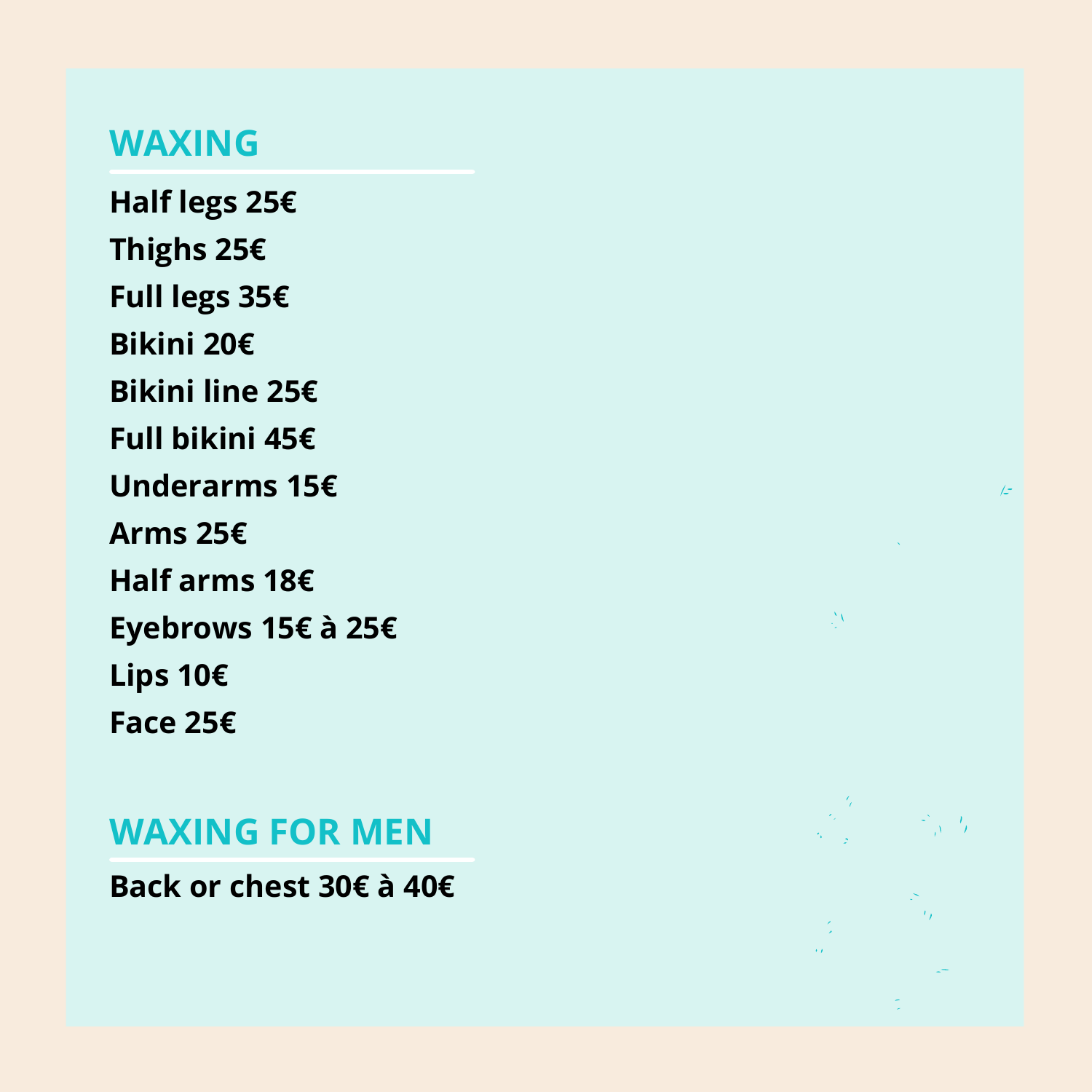### **WAXING**

**Half legs 25€**

**Thighs 25€**

**Full legs 35€**

**Bikini 20€**

**Bikini line 25€**

**Full bikini 45€**

**Underarms 15€**

**Arms 25€**

**Half arms 18€**

**Eyebrows 15€ à 25€**

 $\sqrt{2}$ 

 $\frac{\lambda}{\sqrt{2}}\lambda$ 

 $\alpha$ 

 $\begin{array}{ccc} \phi & & \phi \\ \phi & & \phi \\ \phi & & \phi \end{array}$ 

 $\rightarrow$ 

**Lips 10€**

**Face 25€**

## **WAXING FOR MEN**

**Back or chest 30€ à 40€**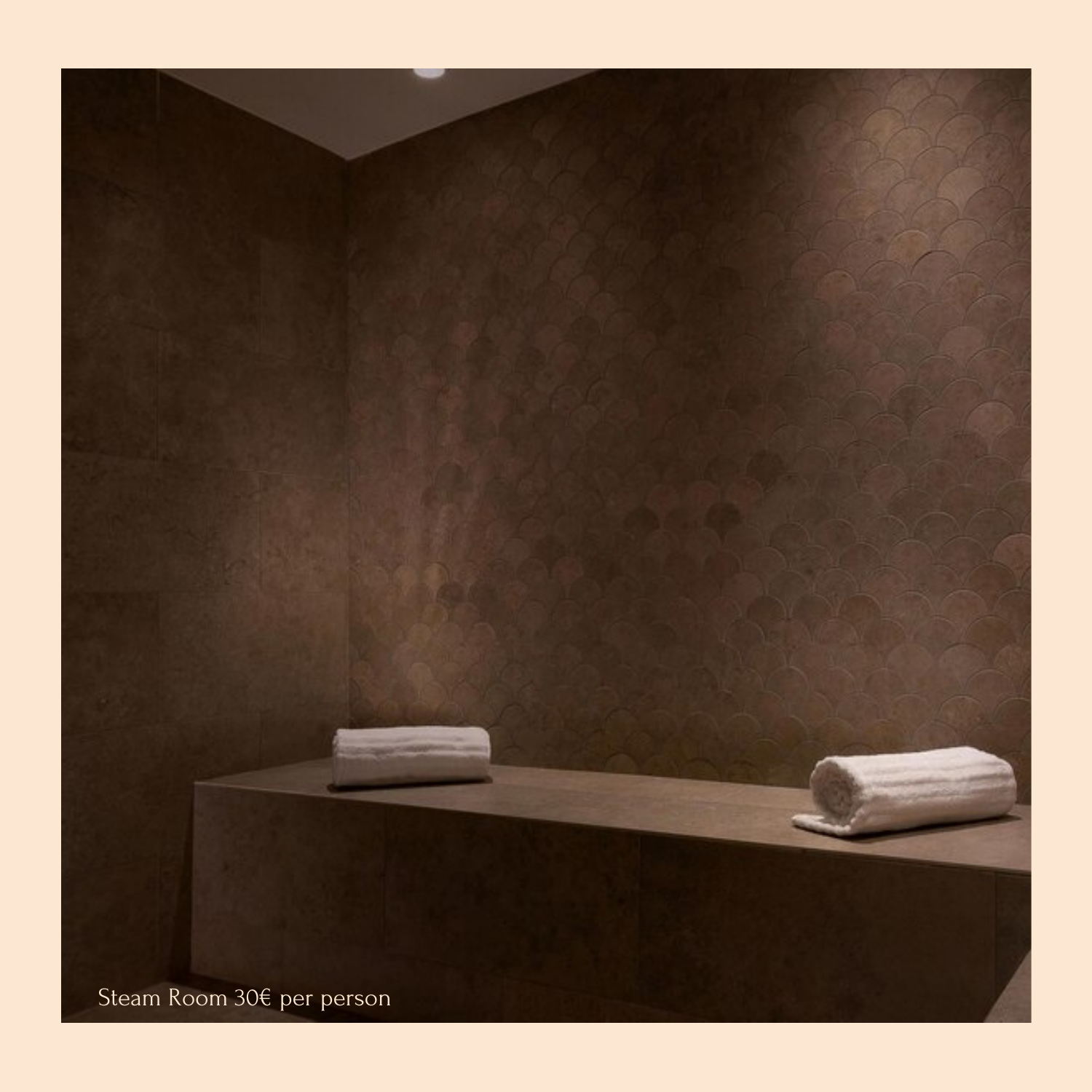